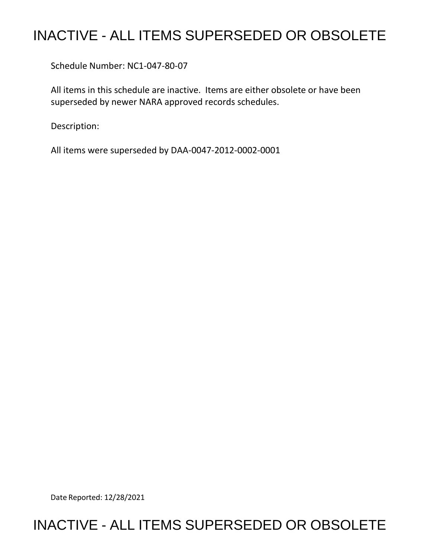# INACTIVE - ALL ITEMS SUPERSEDED OR OBSOLETE

Schedule Number: NC1-047-80-07

All items in this schedule are inactive. Items are either obsolete or have been superseded by newer NARA approved records schedules.

Description:

All items were superseded by DAA-0047-2012-0002-0001

Date Reported: 12/28/2021

# INACTIVE - ALL ITEMS SUPERSEDED OR OBSOLETE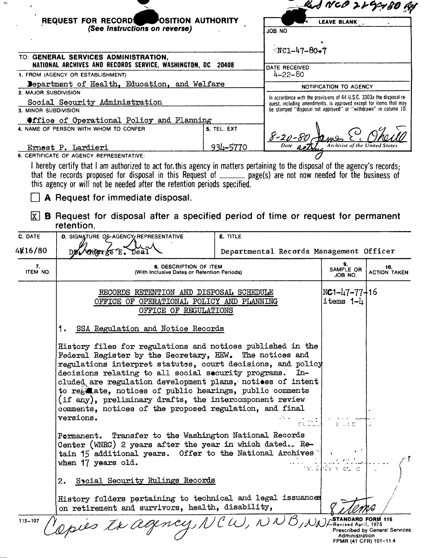|                               | <b>REQUEST FOR RECORDS</b><br>POSITION AUTHORITY                                                                            |                 |                                                                                                                                       |                                   |          |  |
|-------------------------------|-----------------------------------------------------------------------------------------------------------------------------|-----------------|---------------------------------------------------------------------------------------------------------------------------------------|-----------------------------------|----------|--|
| (See Instructions on reverse) |                                                                                                                             |                 |                                                                                                                                       | <b>LEAVE BLANK</b>                |          |  |
|                               |                                                                                                                             |                 | JOB NO                                                                                                                                |                                   |          |  |
|                               |                                                                                                                             | $NCI-47-80+7$   |                                                                                                                                       |                                   |          |  |
|                               | TO: GENERAL SERVICES ADMINISTRATION,                                                                                        |                 |                                                                                                                                       |                                   |          |  |
|                               | NATIONAL ARCHIVES AND RECORDS SERVICE, WASHINGTON, DC 20408                                                                 |                 | DATE RECEIVED                                                                                                                         |                                   |          |  |
|                               | 1. FROM (AGENCY OR ESTABLISHMENT)                                                                                           |                 | $4 - 22 - 80$                                                                                                                         |                                   |          |  |
|                               | Department of Health, Education, and Welfare                                                                                |                 |                                                                                                                                       | <b>NOTIFICATION TO AGENCY</b>     |          |  |
| 2. MAJOR SUBDIVISION          |                                                                                                                             |                 | In accordance with the provisions of 44 U.S.C. 3303a the disposal re-                                                                 |                                   |          |  |
| 3. MINOR SUBDIVISION          | Social Security Administration                                                                                              |                 | quest, including amendments, is approved except for items that may<br>be stamped "disposal not approved" or "withdrawn" in column 10. |                                   |          |  |
|                               | <b>Affice of Operational Policy and Planning</b>                                                                            |                 |                                                                                                                                       |                                   |          |  |
|                               | 4. NAME OF PERSON WITH WHOM TO CONFER                                                                                       | 5. TEL. EXT     |                                                                                                                                       |                                   |          |  |
|                               |                                                                                                                             |                 |                                                                                                                                       |                                   |          |  |
|                               | Ernest P. Lardieri                                                                                                          | 934–5770        | $8 - 20 - 82$                                                                                                                         |                                   |          |  |
|                               | 6. CERTIFICATE OF AGENCY REPRESENTATIVE:                                                                                    |                 |                                                                                                                                       |                                   |          |  |
|                               | I hereby certify that I am authorized to act for this agency in matters pertaining to the disposal of the agency's records; |                 |                                                                                                                                       |                                   |          |  |
|                               | that the records proposed for disposal in this Request of _____ page(s) are not now needed for the business of              |                 |                                                                                                                                       |                                   |          |  |
|                               | this agency or will not be needed after the retention periods specified.                                                    |                 |                                                                                                                                       |                                   |          |  |
|                               | A Request for immediate disposal.                                                                                           |                 |                                                                                                                                       |                                   |          |  |
|                               |                                                                                                                             |                 |                                                                                                                                       |                                   |          |  |
| lx i                          | B Request for disposal after a specified period of time or request for permanent                                            |                 |                                                                                                                                       |                                   |          |  |
|                               | retention.                                                                                                                  |                 |                                                                                                                                       |                                   |          |  |
| C. DATE                       | D. SIGNATURE OF AGENCY REPRESENTATIVE                                                                                       | <b>E. TITLE</b> |                                                                                                                                       |                                   |          |  |
|                               |                                                                                                                             |                 |                                                                                                                                       |                                   |          |  |
| 4k16/80                       |                                                                                                                             |                 | Departmental Records Management Officer                                                                                               |                                   |          |  |
| 7.                            | 8. DESCRIPTION OF ITEM                                                                                                      |                 |                                                                                                                                       | 9.<br>SAMPLE OR                   | 10.      |  |
| ITEM NO.                      | (With Inclusive Dates or Retention Periods)                                                                                 |                 | JOB NO.                                                                                                                               | <b>ACTION TAKEN</b>               |          |  |
|                               |                                                                                                                             |                 |                                                                                                                                       |                                   |          |  |
|                               | RECORDS RETENTION AND DISPOSAL SCHEDULE                                                                                     |                 |                                                                                                                                       | $NC1 - 47 - 77 + 16$<br>items 1-4 |          |  |
|                               | OFFICE OF REGULATIONS                                                                                                       |                 | OFFICE OF OPERATIONAL POLICY AND PLANNING                                                                                             |                                   |          |  |
|                               |                                                                                                                             |                 |                                                                                                                                       |                                   |          |  |
|                               |                                                                                                                             |                 |                                                                                                                                       |                                   |          |  |
|                               |                                                                                                                             |                 |                                                                                                                                       |                                   |          |  |
|                               | SSA Regulation and Notice Records<br>1.                                                                                     |                 |                                                                                                                                       |                                   |          |  |
|                               |                                                                                                                             |                 |                                                                                                                                       |                                   |          |  |
|                               | History files for regulations and notices published in the<br>Federal Register by the Secretary, HEW. The notices and       |                 |                                                                                                                                       |                                   |          |  |
|                               | regulations interpret statutes, court decisions, and policy                                                                 |                 |                                                                                                                                       |                                   |          |  |
|                               | decisions relating to all social security programs.                                                                         |                 | $In-$                                                                                                                                 |                                   |          |  |
|                               | cluded are regulation development plans, notices of intent                                                                  |                 |                                                                                                                                       |                                   |          |  |
|                               | to regiate, notices of public hearings, public comments                                                                     |                 |                                                                                                                                       |                                   |          |  |
|                               | (if any), preliminary drafts, the intercomponent review                                                                     |                 |                                                                                                                                       |                                   |          |  |
|                               | comments, notices of the proposed regulation, and final                                                                     |                 |                                                                                                                                       |                                   |          |  |
|                               | versions.                                                                                                                   |                 |                                                                                                                                       | $0 \times C$                      |          |  |
|                               |                                                                                                                             |                 |                                                                                                                                       |                                   |          |  |
|                               | Permanent. Transfer to the Washington National Records                                                                      |                 |                                                                                                                                       |                                   |          |  |
|                               | Center (WNRC) 2 years after the year in which dated Re-                                                                     |                 |                                                                                                                                       |                                   |          |  |
|                               | tain 15 additional years. Offer to the National Archives<br>when 17 years old.                                              |                 |                                                                                                                                       |                                   |          |  |
|                               |                                                                                                                             |                 |                                                                                                                                       | ∵ù n et o                         |          |  |
|                               | Social Security Rulings Records<br>2.                                                                                       |                 |                                                                                                                                       |                                   |          |  |
|                               |                                                                                                                             |                 |                                                                                                                                       |                                   |          |  |
|                               | History folders pertaining to technical and legal issuances                                                                 |                 |                                                                                                                                       |                                   |          |  |
|                               | on retirement and survivors, health, disability,                                                                            |                 |                                                                                                                                       |                                   |          |  |
| $115 - 107$                   | Opies tx agency, NCW, NNB, NNB COM                                                                                          |                 |                                                                                                                                       |                                   | FORM 115 |  |

 $\mathcal{M}_\gamma$ 

|  |  |                |                        | Prescribed by General Service |  |
|--|--|----------------|------------------------|-------------------------------|--|
|  |  | Administration |                        |                               |  |
|  |  |                | FPMR (41 CFR) 101-11.4 |                               |  |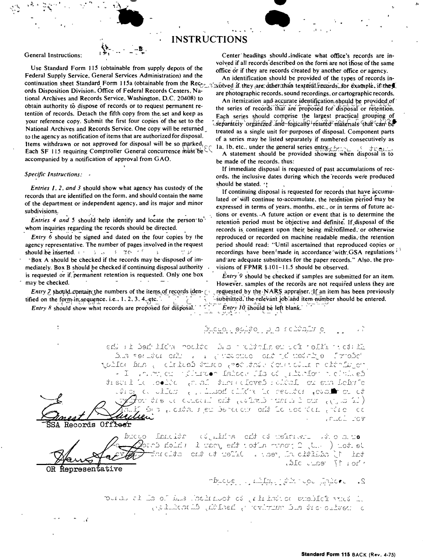### **INSTRUCTIONS**

#### **General Instructions:**

Use Standard Form 115 (obtainable from supply depots of the Federal Supply Service, General Services Administration) and the continuation sheet Standard Form 115a (obtainable from the Recommend of the are other than textural frecords, for example, if the ords Disposition Division. Office of Federal Records Centers, National Archives and Records Service, Washington, D.C. 20408) to obtain authority to dispose of records or to request permanent retention of records. Detach the fifth copy from the set and keep as your reference copy. Submit the first four copies of the set to the National Archives and Records Service. One copy will be returned to the agency as notification of items that are authorized for disposal. Items withdrawn or not approved for disposal will be so marked, Each SF 115 requiring Comptroller General concurrence must be  $EC$ accompanied by a notification of approval from GAO.

### Specific Instructions: -

*Entries 1, 2, and 3 should show what agency has custody of the* records that are identified on the form, and should contain the name of the department or independent agency, and its major and minor subdivisions.

Entries 4 and 5 should help identify and locate the person to. whom inquiries regarding the records should be directed.

Entry 6 should be signed and dated on the four copies by the agency representative. The number of pages involved in the request should be inserted.  $(1 - 5)$  and  $(3 - 70)$  $\sim$  30  $\sim$  3. Box A should be checked if the records may be disposed of immediately. Box B should be checked if continuing disposal authority is requested or if permanent retention is requested. Only one box may be checked.

*Entry 7* should contain the numbers of the items of records identified on the form in sequence. i.e., 1, 2, 3, 4, etc.

Entry 8 should show what records are proposed for disposal.

Center headings should indicate what office's records are involved if all records described on the form are not those of the same office or if they are records created by another office or agency.

An identification should be provided of the types of records inare photographic records, sound recordings, or cartographic records.

An itemization and accurate identification should be provided of the series of records that are proposed for disposal or retention. Each series should comprise the largest practical grouping of separately organized and fogically related materials that can be treated as a single unit for purposes of disposal. Component parts of a series may be listed separately if numbered consecutively as 1a, 1b, etc., under the general series entry- $557$ 

A statement should be provided showing when disposal is to be made of the records, thus:

If immediate disposal is requested of past accumulations of records, the inclusive dates during which the records were produced should be stated. "

If continuing disposal is requested for records that have accumulated or will continue to accumulate, the retention period may be expressed in terms of years, months, etc., or in terms of future actions or events. A future action or event that is to determine the retention period must be objective and definite. If disposal of the records is contingent upon their being microfilmed, or otherwise reproduced or recorded on machine readable media, the retention period should read: "Until ascertained that reproduced copies or recordings have been made in accordance with GSA regulations<sup>13</sup> and are adequate substitutes for the paper records." Also, the provisions of FPMR § 101-11.5 should be observed.

 $\overline{E}$ ntry 9 should be checked if samples are submitted for an item. However, samples of the records are not required unless they are requested by the NARS appraiser. (If an item has been previously -submitted, the-relevant job and item-number should be entered. Entry 10 should be left blank.

pronon estado o a condata e

At the file for reality and whise will hed in the the security of the correction of the set and the set and the section of the set of the set of the set of the no alto in la citato postitucio, count desirio y alto policy  $\epsilon$  . The relationship is allowed that  $\alpha$  is the relationship in  $\mathbb{I}$ oludod ane no Isólo i devolument la s, lo stico lui i sue st the country , there is not children in each to see the  $f$  or the constant entry the insector of  $\mathcal{F}$ de signale de la provinción de la securidad de la llei  $rr\_C\_C$ 

Records Offreer

sia di la malen do tha anhing do noticidad opprå  $\mathcal{D}$ oantolinia (France altro d'Insegnation) i studio $\mathbb{S}$ tai (1) cast of the state of the state of the state of the set

OR Representative

hbrought thing jobs too labor. Ω.

101 17 ears old.

 $\mathbb{D}$  born folders to refinity bo townion. and let all is date neviro environo de l'ovinita de la solution.  $\sim$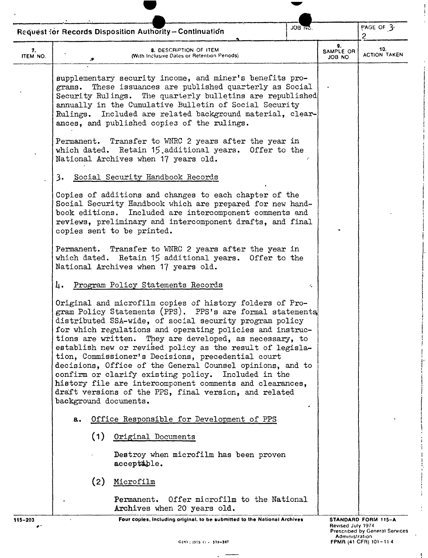| JOB 110.<br>Request for Records Disposition Authority-Continuation |                                             |                                                                                                                                                                                                                                                                                                                                                                                                                                                                                                                                                                                                                                                   |    | PAGE OF 3.<br>$\overline{c}$ |                            |
|--------------------------------------------------------------------|---------------------------------------------|---------------------------------------------------------------------------------------------------------------------------------------------------------------------------------------------------------------------------------------------------------------------------------------------------------------------------------------------------------------------------------------------------------------------------------------------------------------------------------------------------------------------------------------------------------------------------------------------------------------------------------------------------|----|------------------------------|----------------------------|
| 7.<br>ITEM NO.                                                     | ×                                           | <b>8. DESCRIPTION OF ITEM</b><br>(With Inclusive Dates or Retention Periods)                                                                                                                                                                                                                                                                                                                                                                                                                                                                                                                                                                      |    | 9.<br>SAMPLE OR<br>ON 8OL    | 10.<br><b>ACTION TAKEN</b> |
|                                                                    | grams.                                      | supplementary security income, and miner's benefits pro-<br>These issuances are published quarterly as Social<br>Security Rulings. The quarterly bulletins are republished<br>annually in the Cumulative Bulletin of Social Security<br>Rulings. Included are related background material, clear-<br>ances, and published copies of the rulings.                                                                                                                                                                                                                                                                                                  |    |                              |                            |
|                                                                    |                                             | Permanent. Transfer to WNRC 2 years after the year in<br>which dated. Retain 15 additional years. Offer to the<br>National Archives when 17 years old.                                                                                                                                                                                                                                                                                                                                                                                                                                                                                            |    |                              |                            |
|                                                                    |                                             | 3. Social Security Handbook Records                                                                                                                                                                                                                                                                                                                                                                                                                                                                                                                                                                                                               |    |                              |                            |
|                                                                    |                                             | Copies of additions and changes to each chapter of the<br>Social Security Handbook which are prepared for new hand-<br>book editions. Included are intercomponent comments and<br>reviews, preliminary and intercomponent drafts, and final<br>copies sent to be printed.                                                                                                                                                                                                                                                                                                                                                                         |    |                              |                            |
|                                                                    |                                             | Permanent. Transfer to WNRC 2 years after the year in<br>which dated. Retain 15 additional years. Offer to the<br>National Archives when 17 years old.                                                                                                                                                                                                                                                                                                                                                                                                                                                                                            |    |                              |                            |
|                                                                    | 4.                                          | Program Policy Statements Records                                                                                                                                                                                                                                                                                                                                                                                                                                                                                                                                                                                                                 | ÷. |                              |                            |
|                                                                    | tions are written.<br>background documents. | Original and microfilm copies of history folders of Pro-<br>gram Policy Statements (PPS). PPS's are formal statements<br>distributed SSA-wide, of social security program policy<br>for which regulations and operating policies and instruc-<br>They are developed, as necessary, to<br>establish new or revised policy as the result of legisla-<br>tion, Commissioner's Decisions, precedential court<br>decisions, Office of the General Counsel opinions, and to<br>confirm or clarify existing policy. Included in the<br>history file are intercomponent comments and clearances,<br>draft versions of the PPS, final version, and related |    |                              |                            |
|                                                                    | а.                                          | Office Responsible for Development of PPS                                                                                                                                                                                                                                                                                                                                                                                                                                                                                                                                                                                                         |    |                              |                            |
|                                                                    | (1)                                         | Original Documents                                                                                                                                                                                                                                                                                                                                                                                                                                                                                                                                                                                                                                |    |                              |                            |
|                                                                    |                                             | Destroy when microfilm has been proven<br>acceptable.                                                                                                                                                                                                                                                                                                                                                                                                                                                                                                                                                                                             |    |                              |                            |
|                                                                    | (2)                                         | Microfilm                                                                                                                                                                                                                                                                                                                                                                                                                                                                                                                                                                                                                                         |    |                              |                            |
|                                                                    |                                             | Offer microfilm to the National<br>Permanent.                                                                                                                                                                                                                                                                                                                                                                                                                                                                                                                                                                                                     |    |                              |                            |

 $\sim$   $-$ 

:<br>|<br>! i

 $\begin{array}{c} \frac{1}{2} \\ \frac{1}{2} \end{array}$  $\cdot$ 

I. I  $\vert$ I !<br>!<br>! l  $\ddot{\ddot{\}}$ { ! I l |<br>!<br>!

|<br>|<br>!<br>!

 $\begin{aligned} \mathbf{r} & \mathbf{r} = \mathbf{r} \mathbf{r} \mathbf{r} \mathbf{r} \mathbf{r} \mathbf{r} \mathbf{r} \mathbf{r} \mathbf{r} \mathbf{r} \mathbf{r} \mathbf{r} \mathbf{r} \mathbf{r} \mathbf{r} \mathbf{r} \mathbf{r} \mathbf{r} \mathbf{r} \mathbf{r} \mathbf{r} \mathbf{r} \mathbf{r} \mathbf{r} \mathbf{r} \mathbf{r} \mathbf{r} \mathbf{r} \mathbf{r} \mathbf{r} \mathbf{r} \mathbf{r} \mathbf{r} \mathbf$  $\begin{array}{c} 1 \\ 1 \\ 1 \\ 1 \end{array}$ 

 $\begin{aligned} \mathbf{u}_{\text{max}} & \text{if } \mathbf{u}_{\text{max}} = \mathbf{u}_{\text{max}} \\ \mathbf{u}_{\text{max}} & \text{if } \mathbf{u}_{\text{max}} = \mathbf{u}_{\text{max}} \end{aligned}$ 

 $\frac{1}{3}$ 

 $\frac{4}{3}$ 

 $\ddot{\phantom{a}}$ 

Ţ  $\mathbf{r}$